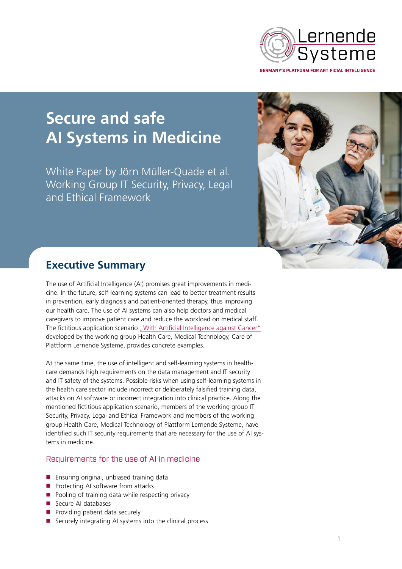

**GERMANY'S PLATFORM FOR ARTIFICIAL INTELLIGENCE** 

# **Secure and safe AI Systems in Medicine**

White Paper by Jörn Müller-Quade et al. Working Group IT Security, Privacy, Legal and Ethical Framework



## **Executive Summary**

The use of Artificial Intelligence (AI) promises great improvements in medicine. In the future, self-learning systems can lead to better treatment results in prevention, early diagnosis and patient-oriented therapy, thus improving our health care. The use of AI systems can also help doctors and medical caregivers to improve patient care and reduce the workload on medical staff. The fictitious application scenario ["With Artificial Intelligence against Cancer"](https://www.plattform-lernende-systeme.de/files/Downloads/Publikationen_EN/Twopager_Onkologie_engl_0805.pdf) developed by the working group Health Care, Medical Technology, Care of Plattform Lernende Systeme, provides concrete examples.

At the same time, the use of intelligent and self-learning systems in healthcare demands high requirements on the data management and IT security and IT safety of the systems. Possible risks when using self-learning systems in the health care sector include incorrect or deliberately falsified training data, attacks on AI software or incorrect integration into clinical practice. Along the mentioned fictitious application scenario, members of the working group IT Security, Privacy, Legal and Ethical Framework and members of the working group Health Care, Medical Technology of Plattform Lernende Systeme, have identified such IT security requirements that are necessary for the use of AI systems in medicine.

### Requirements for the use of AI in medicine

- **Ensuring original, unbiased training data**
- Protecting AI software from attacks
- Pooling of training data while respecting privacy
- Secure AI databases
- **Providing patient data securely**
- $\blacksquare$  Securely integrating AI systems into the clinical process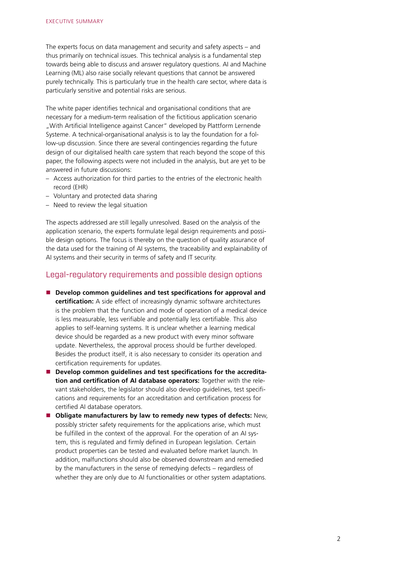The experts focus on data management and security and safety aspects – and thus primarily on technical issues. This technical analysis is a fundamental step towards being able to discuss and answer regulatory questions. AI and Machine Learning (ML) also raise socially relevant questions that cannot be answered purely technically. This is particularly true in the health care sector, where data is particularly sensitive and potential risks are serious.

The white paper identifies technical and organisational conditions that are necessary for a medium-term realisation of the fictitious application scenario "With Artificial Intelligence against Cancer" developed by Plattform Lernende Systeme. A technical-organisational analysis is to lay the foundation for a follow-up discussion. Since there are several contingencies regarding the future design of our digitalised health care system that reach beyond the scope of this paper, the following aspects were not included in the analysis, but are yet to be answered in future discussions:

- Access authorization for third parties to the entries of the electronic health record (EHR)
- Voluntary and protected data sharing
- Need to review the legal situation

The aspects addressed are still legally unresolved. Based on the analysis of the application scenario, the experts formulate legal design requirements and possible design options. The focus is thereby on the question of quality assurance of the data used for the training of AI systems, the traceability and explainability of AI systems and their security in terms of safety and IT security.

#### Legal-regulatory requirements and possible design options

- Develop common quidelines and test specifications for approval and **certification:** A side effect of increasingly dynamic software architectures is the problem that the function and mode of operation of a medical device is less measurable, less verifiable and potentially less certifiable. This also applies to self-learning systems. It is unclear whether a learning medical device should be regarded as a new product with every minor software update. Nevertheless, the approval process should be further developed. Besides the product itself, it is also necessary to consider its operation and certification requirements for updates.
- Develop common guidelines and test specifications for the accredita**tion and certification of AI database operators:** Together with the relevant stakeholders, the legislator should also develop guidelines, test specifications and requirements for an accreditation and certification process for certified AI database operators.
- **Obligate manufacturers by law to remedy new types of defects:** New, possibly stricter safety requirements for the applications arise, which must be fulfilled in the context of the approval. For the operation of an AI system, this is regulated and firmly defined in European legislation. Certain product properties can be tested and evaluated before market launch. In addition, malfunctions should also be observed downstream and remedied by the manufacturers in the sense of remedying defects – regardless of whether they are only due to AI functionalities or other system adaptations.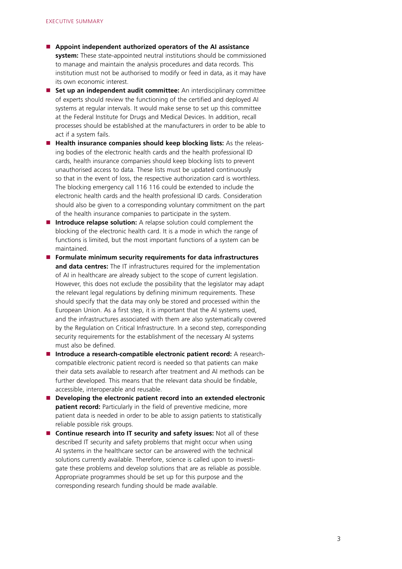- **Appoint independent authorized operators of the AI assistance system:** These state-appointed neutral institutions should be commissioned to manage and maintain the analysis procedures and data records. This institution must not be authorised to modify or feed in data, as it may have its own economic interest.
- **Set up an independent audit committee:** An interdisciplinary committee of experts should review the functioning of the certified and deployed AI systems at regular intervals. It would make sense to set up this committee at the Federal Institute for Drugs and Medical Devices. In addition, recall processes should be established at the manufacturers in order to be able to act if a system fails.
- **Health insurance companies should keep blocking lists:** As the releasing bodies of the electronic health cards and the health professional ID cards, health insurance companies should keep blocking lists to prevent unauthorised access to data. These lists must be updated continuously so that in the event of loss, the respective authorization card is worthless. The blocking emergency call 116 116 could be extended to include the electronic health cards and the health professional ID cards. Consideration should also be given to a corresponding voluntary commitment on the part of the health insurance companies to participate in the system.
- **Introduce relapse solution:** A relapse solution could complement the blocking of the electronic health card. It is a mode in which the range of functions is limited, but the most important functions of a system can be maintained.
- **Formulate minimum security requirements for data infrastructures and data centres:** The IT infrastructures required for the implementation of AI in healthcare are already subject to the scope of current legislation. However, this does not exclude the possibility that the legislator may adapt the relevant legal regulations by defining minimum requirements. These should specify that the data may only be stored and processed within the European Union. As a first step, it is important that the AI systems used, and the infrastructures associated with them are also systematically covered by the Regulation on Critical Infrastructure. In a second step, corresponding security requirements for the establishment of the necessary AI systems must also be defined.
- **Introduce a research-compatible electronic patient record:** A researchcompatible electronic patient record is needed so that patients can make their data sets available to research after treatment and AI methods can be further developed. This means that the relevant data should be findable, accessible, interoperable and reusable.
- Developing the electronic patient record into an extended electronic **patient record:** Particularly in the field of preventive medicine, more patient data is needed in order to be able to assign patients to statistically reliable possible risk groups.
- **Continue research into IT security and safety issues:** Not all of these described IT security and safety problems that might occur when using AI systems in the healthcare sector can be answered with the technical solutions currently available. Therefore, science is called upon to investigate these problems and develop solutions that are as reliable as possible. Appropriate programmes should be set up for this purpose and the corresponding research funding should be made available.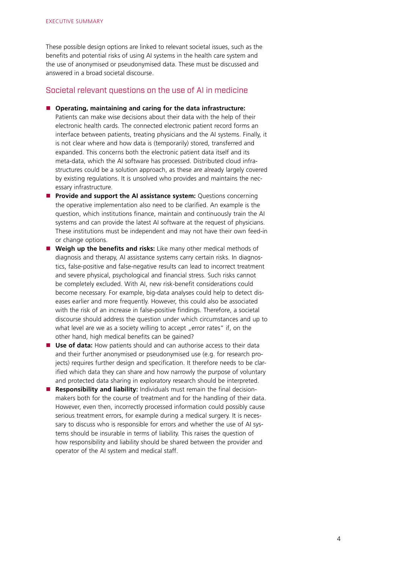These possible design options are linked to relevant societal issues, such as the benefits and potential risks of using AI systems in the health care system and the use of anonymised or pseudonymised data. These must be discussed and answered in a broad societal discourse.

#### Societal relevant questions on the use of AI in medicine

#### **Operating, maintaining and caring for the data infrastructure:**

Patients can make wise decisions about their data with the help of their electronic health cards. The connected electronic patient record forms an interface between patients, treating physicians and the AI systems. Finally, it is not clear where and how data is (temporarily) stored, transferred and expanded. This concerns both the electronic patient data itself and its meta-data, which the AI software has processed. Distributed cloud infrastructures could be a solution approach, as these are already largely covered by existing regulations. It is unsolved who provides and maintains the necessary infrastructure.

- **Provide and support the AI assistance system:** Questions concerning the operative implementation also need to be clarified. An example is the question, which institutions finance, maintain and continuously train the AI systems and can provide the latest AI software at the request of physicians. These institutions must be independent and may not have their own feed-in or change options.
- **Weigh up the benefits and risks:** Like many other medical methods of diagnosis and therapy, AI assistance systems carry certain risks. In diagnostics, false-positive and false-negative results can lead to incorrect treatment and severe physical, psychological and financial stress. Such risks cannot be completely excluded. With AI, new risk-benefit considerations could become necessary. For example, big-data analyses could help to detect diseases earlier and more frequently. However, this could also be associated with the risk of an increase in false-positive findings. Therefore, a societal discourse should address the question under which circumstances and up to what level are we as a society willing to accept "error rates" if, on the other hand, high medical benefits can be gained?
- **Use of data:** How patients should and can authorise access to their data and their further anonymised or pseudonymised use (e.g. for research projects) requires further design and specification. It therefore needs to be clarified which data they can share and how narrowly the purpose of voluntary and protected data sharing in exploratory research should be interpreted.
- **Responsibility and liability:** Individuals must remain the final decisionmakers both for the course of treatment and for the handling of their data. However, even then, incorrectly processed information could possibly cause serious treatment errors, for example during a medical surgery. It is necessary to discuss who is responsible for errors and whether the use of AI systems should be insurable in terms of liability. This raises the question of how responsibility and liability should be shared between the provider and operator of the AI system and medical staff.